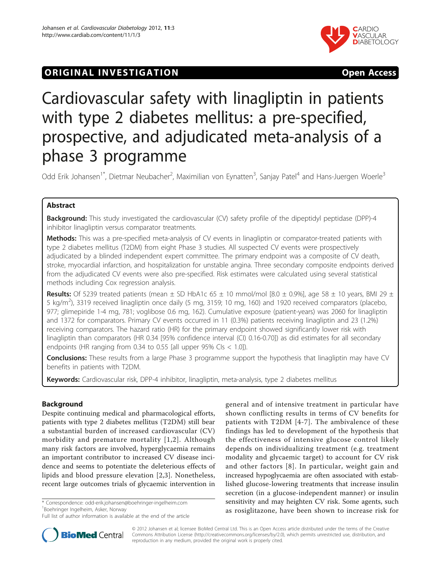# **ORIGINAL INVESTIGATION CONSUMING THE STATE OPEN ACCESS**



# Cardiovascular safety with linagliptin in patients with type 2 diabetes mellitus: a pre-specified, prospective, and adjudicated meta-analysis of a phase 3 programme

Odd Erik Johansen<sup>1\*</sup>, Dietmar Neubacher<sup>2</sup>, Maximilian von Eynatten<sup>3</sup>, Sanjay Patel<sup>4</sup> and Hans-Juergen Woerle<sup>3</sup>

# Abstract

**Background:** This study investigated the cardiovascular (CV) safety profile of the dipeptidyl peptidase (DPP)-4 inhibitor linagliptin versus comparator treatments.

Methods: This was a pre-specified meta-analysis of CV events in linagliptin or comparator-treated patients with type 2 diabetes mellitus (T2DM) from eight Phase 3 studies. All suspected CV events were prospectively adjudicated by a blinded independent expert committee. The primary endpoint was a composite of CV death, stroke, myocardial infarction, and hospitalization for unstable angina. Three secondary composite endpoints derived from the adjudicated CV events were also pre-specified. Risk estimates were calculated using several statistical methods including Cox regression analysis.

**Results:** Of 5239 treated patients (mean  $\pm$  SD HbA1c 65  $\pm$  10 mmol/mol [8.0  $\pm$  0.9%], age 58  $\pm$  10 years, BMI 29  $\pm$ 5 kg/m<sup>2</sup>), 3319 received linagliptin once daily (5 mg, 3159; 10 mg, 160) and 1920 received comparators (placebo, 977; glimepiride 1-4 mg, 781; voglibose 0.6 mg, 162). Cumulative exposure (patient-years) was 2060 for linagliptin and 1372 for comparators. Primary CV events occurred in 11 (0.3%) patients receiving linagliptin and 23 (1.2%) receiving comparators. The hazard ratio (HR) for the primary endpoint showed significantly lower risk with linagliptin than comparators (HR 0.34 [95% confidence interval (CI) 0.16-0.70]) as did estimates for all secondary endpoints (HR ranging from 0.34 to 0.55 [all upper 95% CIs  $<$  1.0]).

Conclusions: These results from a large Phase 3 programme support the hypothesis that linagliptin may have CV benefits in patients with T2DM.

Keywords: Cardiovascular risk, DPP-4 inhibitor, linagliptin, meta-analysis, type 2 diabetes mellitus

# Background

Despite continuing medical and pharmacological efforts, patients with type 2 diabetes mellitus (T2DM) still bear a substantial burden of increased cardiovascular (CV) morbidity and premature mortality [[1,2\]](#page-8-0). Although many risk factors are involved, hyperglycaemia remains an important contributor to increased CV disease incidence and seems to potentiate the deleterious effects of lipids and blood pressure elevation [[2,3](#page-8-0)]. Nonetheless, recent large outcomes trials of glycaemic intervention in

\* Correspondence: [odd-erik.johansen@boehringer-ingelheim.com](mailto:odd-erik.johansen@boehringer-ingelheim.com) 1 Boehringer Ingelheim, Asker, Norway

general and of intensive treatment in particular have shown conflicting results in terms of CV benefits for patients with T2DM [[4](#page-8-0)-[7](#page-8-0)]. The ambivalence of these findings has led to development of the hypothesis that the effectiveness of intensive glucose control likely depends on individualizing treatment (e.g. treatment modality and glycaemic target) to account for CV risk and other factors [[8\]](#page-8-0). In particular, weight gain and increased hypoglycaemia are often associated with established glucose-lowering treatments that increase insulin secretion (in a glucose-independent manner) or insulin sensitivity and may heighten CV risk. Some agents, such as rosiglitazone, have been shown to increase risk for



© 2012 Johansen et al; licensee BioMed Central Ltd. This is an Open Access article distributed under the terms of the Creative Commons Attribution License [\(http://creativecommons.org/licenses/by/2.0](http://creativecommons.org/licenses/by/2.0)), which permits unrestricted use, distribution, and reproduction in any medium, provided the original work is properly cited.

Full list of author information is available at the end of the article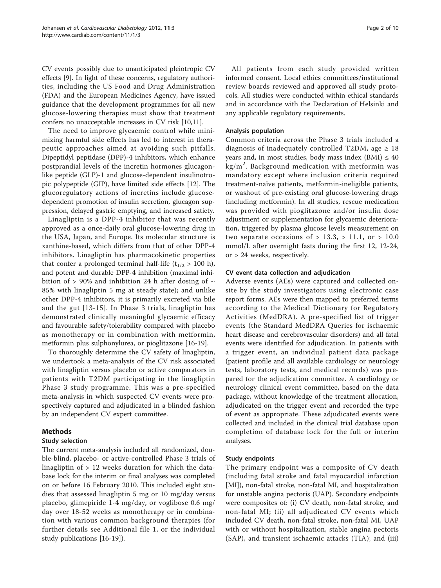CV events possibly due to unanticipated pleiotropic CV effects [[9\]](#page-8-0). In light of these concerns, regulatory authorities, including the US Food and Drug Administration (FDA) and the European Medicines Agency, have issued guidance that the development programmes for all new glucose-lowering therapies must show that treatment confers no unacceptable increases in CV risk [\[10,11\]](#page-8-0).

The need to improve glycaemic control while minimizing harmful side effects has led to interest in therapeutic approaches aimed at avoiding such pitfalls. Dipeptidyl peptidase (DPP)-4 inhibitors, which enhance postprandial levels of the incretin hormones glucagonlike peptide (GLP)-1 and glucose-dependent insulinotropic polypeptide (GIP), have limited side effects [[12\]](#page-8-0). The glucoregulatory actions of incretins include glucosedependent promotion of insulin secretion, glucagon suppression, delayed gastric emptying, and increased satiety.

Linagliptin is a DPP-4 inhibitor that was recently approved as a once-daily oral glucose-lowering drug in the USA, Japan, and Europe. Its molecular structure is xanthine-based, which differs from that of other DPP-4 inhibitors. Linagliptin has pharmacokinetic properties that confer a prolonged terminal half-life  $(t_{1/2} > 100 h)$ , and potent and durable DPP-4 inhibition (maximal inhibition of > 90% and inhibition 24 h after dosing of  $\sim$ 85% with linagliptin 5 mg at steady state); and unlike other DPP-4 inhibitors, it is primarily excreted via bile and the gut [[13-15\]](#page-8-0). In Phase 3 trials, linagliptin has demonstrated clinically meaningful glycaemic efficacy and favourable safety/tolerability compared with placebo as monotherapy or in combination with metformin, metformin plus sulphonylurea, or pioglitazone [\[16](#page-8-0)-[19\]](#page-8-0).

To thoroughly determine the CV safety of linagliptin, we undertook a meta-analysis of the CV risk associated with linagliptin versus placebo or active comparators in patients with T2DM participating in the linagliptin Phase 3 study programme. This was a pre-specified meta-analysis in which suspected CV events were prospectively captured and adjudicated in a blinded fashion by an independent CV expert committee.

# Methods

#### Study selection

The current meta-analysis included all randomized, double-blind, placebo- or active-controlled Phase 3 trials of linagliptin of > 12 weeks duration for which the database lock for the interim or final analyses was completed on or before 16 February 2010. This included eight studies that assessed linagliptin 5 mg or 10 mg/day versus placebo, glimepiride 1-4 mg/day, or voglibose 0.6 mg/ day over 18-52 weeks as monotherapy or in combination with various common background therapies (for further details see Additional file [1](#page-8-0), or the individual study publications [\[16](#page-8-0)-[19](#page-8-0)]).

All patients from each study provided written informed consent. Local ethics committees/institutional review boards reviewed and approved all study protocols. All studies were conducted within ethical standards and in accordance with the Declaration of Helsinki and any applicable regulatory requirements.

#### Analysis population

Common criteria across the Phase 3 trials included a diagnosis of inadequately controlled T2DM, age  $\geq 18$ years and, in most studies, body mass index (BMI)  $\leq 40$ kg/m<sup>2</sup>. Background medication with metformin was mandatory except where inclusion criteria required treatment-naïve patients, metformin-ineligible patients, or washout of pre-existing oral glucose-lowering drugs (including metformin). In all studies, rescue medication was provided with pioglitazone and/or insulin dose adjustment or supplementation for glycaemic deterioration, triggered by plasma glucose levels measurement on two separate occasions of  $> 13.3$ ,  $> 11.1$ , or  $> 10.0$ mmol/L after overnight fasts during the first 12, 12-24, or > 24 weeks, respectively.

#### CV event data collection and adjudication

Adverse events (AEs) were captured and collected onsite by the study investigators using electronic case report forms. AEs were then mapped to preferred terms according to the Medical Dictionary for Regulatory Activities (MedDRA). A pre-specified list of trigger events (the Standard MedDRA Queries for ischaemic heart disease and cerebrovascular disorders) and all fatal events were identified for adjudication. In patients with a trigger event, an individual patient data package (patient profile and all available cardiology or neurology tests, laboratory tests, and medical records) was prepared for the adjudication committee. A cardiology or neurology clinical event committee, based on the data package, without knowledge of the treatment allocation, adjudicated on the trigger event and recorded the type of event as appropriate. These adjudicated events were collected and included in the clinical trial database upon completion of database lock for the full or interim analyses.

#### Study endpoints

The primary endpoint was a composite of CV death (including fatal stroke and fatal myocardial infarction [MI]), non-fatal stroke, non-fatal MI, and hospitalization for unstable angina pectoris (UAP). Secondary endpoints were composites of: (i) CV death, non-fatal stroke, and non-fatal MI; (ii) all adjudicated CV events which included CV death, non-fatal stroke, non-fatal MI, UAP with or without hospitalization, stable angina pectoris (SAP), and transient ischaemic attacks (TIA); and (iii)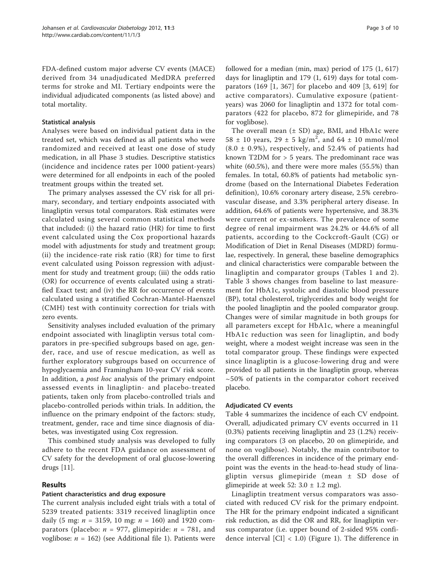FDA-defined custom major adverse CV events (MACE) derived from 34 unadjudicated MedDRA preferred terms for stroke and MI. Tertiary endpoints were the individual adjudicated components (as listed above) and total mortality.

### Statistical analysis

Analyses were based on individual patient data in the treated set, which was defined as all patients who were randomized and received at least one dose of study medication, in all Phase 3 studies. Descriptive statistics (incidence and incidence rates per 1000 patient-years) were determined for all endpoints in each of the pooled treatment groups within the treated set.

The primary analyses assessed the CV risk for all primary, secondary, and tertiary endpoints associated with linagliptin versus total comparators. Risk estimates were calculated using several common statistical methods that included: (i) the hazard ratio (HR) for time to first event calculated using the Cox proportional hazards model with adjustments for study and treatment group; (ii) the incidence-rate risk ratio (RR) for time to first event calculated using Poisson regression with adjustment for study and treatment group; (iii) the odds ratio (OR) for occurrence of events calculated using a stratified Exact test; and (iv) the RR for occurrence of events calculated using a stratified Cochran-Mantel-Haenszel (CMH) test with continuity correction for trials with zero events.

Sensitivity analyses included evaluation of the primary endpoint associated with linagliptin versus total comparators in pre-specified subgroups based on age, gender, race, and use of rescue medication, as well as further exploratory subgroups based on occurrence of hypoglycaemia and Framingham 10-year CV risk score. In addition, a post hoc analysis of the primary endpoint assessed events in linagliptin- and placebo-treated patients, taken only from placebo-controlled trials and placebo-controlled periods within trials. In addition, the influence on the primary endpoint of the factors: study, treatment, gender, race and time since diagnosis of diabetes, was investigated using Cox regression.

This combined study analysis was developed to fully adhere to the recent FDA guidance on assessment of CV safety for the development of oral glucose-lowering drugs [[11](#page-8-0)].

# Results

#### Patient characteristics and drug exposure

The current analysis included eight trials with a total of 5239 treated patients: 3319 received linagliptin once daily (5 mg:  $n = 3159$ , 10 mg:  $n = 160$ ) and 1920 comparators (placebo:  $n = 977$ , glimepiride:  $n = 781$ , and voglibose:  $n = 162$  $n = 162$  $n = 162$ ) (see Additional file 1). Patients were followed for a median (min, max) period of 175 (1, 617) days for linagliptin and 179 (1, 619) days for total comparators (169 [1, 367] for placebo and 409 [3, 619] for active comparators). Cumulative exposure (patientyears) was 2060 for linagliptin and 1372 for total comparators (422 for placebo, 872 for glimepiride, and 78 for voglibose).

The overall mean  $(\pm SD)$  age, BMI, and HbA1c were  $58 \pm 10$  years,  $29 \pm 5$  kg/m<sup>2</sup>, and  $64 \pm 10$  mmol/mol  $(8.0 \pm 0.9\%)$ , respectively, and 52.4% of patients had known T2DM for > 5 years. The predominant race was white (60.5%), and there were more males (55.5%) than females. In total, 60.8% of patients had metabolic syndrome (based on the International Diabetes Federation definition), 10.6% coronary artery disease, 2.5% cerebrovascular disease, and 3.3% peripheral artery disease. In addition, 64.6% of patients were hypertensive, and 38.3% were current or ex-smokers. The prevalence of some degree of renal impairment was 24.2% or 44.6% of all patients, according to the Cockcroft-Gault (CG) or Modification of Diet in Renal Diseases (MDRD) formulae, respectively. In general, these baseline demographics and clinical characteristics were comparable between the linagliptin and comparator groups (Tables [1](#page-3-0) and [2\)](#page-4-0). Table [3](#page-4-0) shows changes from baseline to last measurement for HbA1c, systolic and diastolic blood pressure (BP), total cholesterol, triglycerides and body weight for the pooled linagliptin and the pooled comparator group. Changes were of similar magnitude in both groups for all parameters except for HbA1c, where a meaningful HbA1c reduction was seen for linagliptin, and body weight, where a modest weight increase was seen in the total comparator group. These findings were expected since linagliptin is a glucose-lowering drug and were provided to all patients in the linagliptin group, whereas ~50% of patients in the comparator cohort received placebo.

#### Adjudicated CV events

Table [4](#page-5-0) summarizes the incidence of each CV endpoint. Overall, adjudicated primary CV events occurred in 11 (0.3%) patients receiving linagliptin and 23 (1.2%) receiving comparators (3 on placebo, 20 on glimepiride, and none on voglibose). Notably, the main contributor to the overall differences in incidence of the primary endpoint was the events in the head-to-head study of linagliptin versus glimepiride (mean ± SD dose of glimepiride at week 52:  $3.0 \pm 1.2$  mg).

Linagliptin treatment versus comparators was associated with reduced CV risk for the primary endpoint. The HR for the primary endpoint indicated a significant risk reduction, as did the OR and RR, for linagliptin versus comparator (i.e. upper bound of 2-sided 95% confidence interval  $\left[CI\right] < 1.0$ ) (Figure [1\)](#page-5-0). The difference in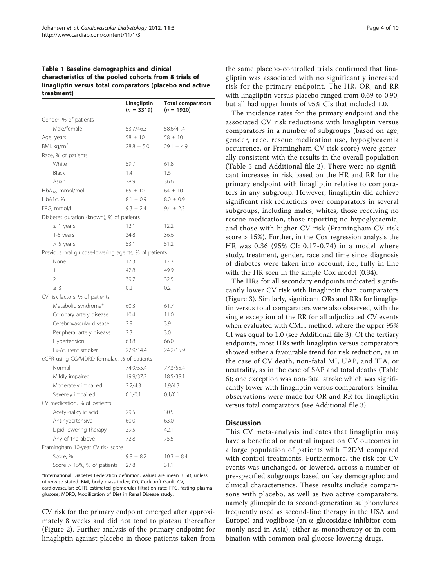<span id="page-3-0"></span>Table 1 Baseline demographics and clinical characteristics of the pooled cohorts from 8 trials of linagliptin versus total comparators (placebo and active treatment)

|                                                      | Linagliptin<br>$(n = 3319)$ | <b>Total comparators</b><br>$(n = 1920)$ |
|------------------------------------------------------|-----------------------------|------------------------------------------|
| Gender, % of patients                                |                             |                                          |
| Male/female                                          | 53.7/46.3                   | 58.6/41.4                                |
| Age, years                                           | $58 \pm 10$                 | $58 \pm 10$                              |
| BMI, $kg/m2$                                         | $28.8 \pm 5.0$              | $29.1 \pm 4.9$                           |
| Race, % of patients                                  |                             |                                          |
| White                                                | 59.7                        | 61.8                                     |
| Black                                                | 1.4                         | 1.6                                      |
| Asian                                                | 38.9                        | 36.6                                     |
| HbA <sub>1c</sub> , mmol/mol                         | $65 \pm 10$                 | $64 \pm 10$                              |
| HbA1c, %                                             | $8.1 \pm 0.9$               | $8.0 \pm 0.9$                            |
| FPG, mmol/L                                          | $9.3 \pm 2.4$               | $9.4 \pm 2.3$                            |
| Diabetes duration (known), % of patients             |                             |                                          |
| $\leq$ 1 years                                       | 12.1                        | 12.2                                     |
| 1-5 years                                            | 34.8                        | 36.6                                     |
| $> 5$ years                                          | 53.1                        | 51.2                                     |
| Previous oral glucose-lowering agents, % of patients |                             |                                          |
| None                                                 | 17.3                        | 17.3                                     |
| 1                                                    | 42.8                        | 49.9                                     |
| $\overline{2}$                                       | 39.7                        | 32.5                                     |
| $>$ 3                                                | 0.2                         | 0.2                                      |
| CV risk factors, % of patients                       |                             |                                          |
| Metabolic syndrome*                                  | 60.3                        | 61.7                                     |
| Coronary artery disease                              | 10.4                        | 11.0                                     |
| Cerebrovascular disease                              | 2.9                         | 3.9                                      |
| Peripheral artery disease                            | 2.3                         | 3.0                                      |
| Hypertension                                         | 63.8                        | 66.0                                     |
| Ex-/current smoker                                   | 22.9/14.4                   | 24.2/15.9                                |
| eGFR using CG/MDRD formulae, % of patients           |                             |                                          |
| Normal                                               | 74.9/55.4                   | 77.3/55.4                                |
| Mildly impaired                                      | 19.9/37.3                   | 18.5/38.1                                |
| Moderately impaired                                  | 2.2/4.3                     | 1.9/4.3                                  |
| Severely impaired                                    | 0.1/0.1                     | 0.1/0.1                                  |
| CV medication, % of patients                         |                             |                                          |
| Acetyl-salicylic acid                                | 29.5                        | 30.5                                     |
| Antihypertensive                                     | 60.0                        | 63.0                                     |
| Lipid-lowering therapy                               | 39.5                        | 42.1                                     |
| Any of the above                                     | 72.8                        | 75.5                                     |
| Framingham 10-year CV risk score                     |                             |                                          |
| Score, %                                             | $9.8 \pm 8.2$               | $10.3 \pm 8.4$                           |
| Score > 15%, % of patients                           | 27.8                        | 31.1                                     |

\*International Diabetes Federation definition. Values are mean  $\pm$  SD, unless otherwise stated. BMI, body mass index; CG, Cockcroft-Gault; CV, cardiovascular; eGFR, estimated glomerular filtration rate; FPG, fasting plasma glucose; MDRD, Modification of Diet in Renal Disease study.

CV risk for the primary endpoint emerged after approximately 8 weeks and did not tend to plateau thereafter (Figure [2\)](#page-6-0). Further analysis of the primary endpoint for linagliptin against placebo in those patients taken from

the same placebo-controlled trials confirmed that linagliptin was associated with no significantly increased risk for the primary endpoint. The HR, OR, and RR with linagliptin versus placebo ranged from 0.69 to 0.90, but all had upper limits of 95% CIs that included 1.0.

The incidence rates for the primary endpoint and the associated CV risk reductions with linagliptin versus comparators in a number of subgroups (based on age, gender, race, rescue medication use, hypoglycaemia occurrence, or Framingham CV risk score) were generally consistent with the results in the overall population (Table [5](#page-6-0) and Additional file [2](#page-8-0)). There were no significant increases in risk based on the HR and RR for the primary endpoint with linagliptin relative to comparators in any subgroup. However, linagliptin did achieve significant risk reductions over comparators in several subgroups, including males, whites, those receiving no rescue medication, those reporting no hypoglycaemia, and those with higher CV risk (Framingham CV risk score > 15%). Further, in the Cox regression analysis the HR was 0.36 (95% CI: 0.17-0.74) in a model where study, treatment, gender, race and time since diagnosis of diabetes were taken into account, i.e., fully in line with the HR seen in the simple Cox model (0.34).

The HRs for all secondary endpoints indicated significantly lower CV risk with linagliptin than comparators (Figure [3](#page-7-0)). Similarly, significant ORs and RRs for linagliptin versus total comparators were also observed, with the single exception of the RR for all adjudicated CV events when evaluated with CMH method, where the upper 95% CI was equal to 1.0 (see Additional file [3\)](#page-8-0). Of the tertiary endpoints, most HRs with linagliptin versus comparators showed either a favourable trend for risk reduction, as in the case of CV death, non-fatal MI, UAP, and TIA, or neutrality, as in the case of SAP and total deaths (Table [6\)](#page-7-0); one exception was non-fatal stroke which was significantly lower with linagliptin versus comparators. Similar observations were made for OR and RR for linagliptin versus total comparators (see Additional file [3](#page-8-0)).

# **Discussion**

This CV meta-analysis indicates that linagliptin may have a beneficial or neutral impact on CV outcomes in a large population of patients with T2DM compared with control treatments. Furthermore, the risk for CV events was unchanged, or lowered, across a number of pre-specified subgroups based on key demographic and clinical characteristics. These results include comparisons with placebo, as well as two active comparators, namely glimepiride (a second-generation sulphonylurea frequently used as second-line therapy in the USA and Europe) and voglibose (an  $\alpha$ -glucosidase inhibitor commonly used in Asia), either as monotherapy or in combination with common oral glucose-lowering drugs.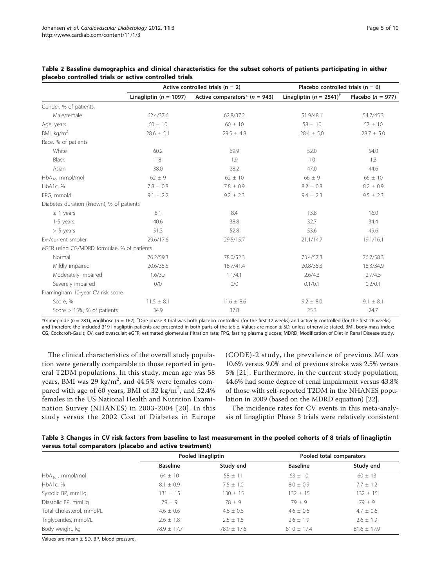|                                            | Active controlled trials ( $n = 2$ ) |                                   | Placebo controlled trials ( $n = 6$ )   |                       |  |
|--------------------------------------------|--------------------------------------|-----------------------------------|-----------------------------------------|-----------------------|--|
|                                            | Linagliptin ( $n = 1097$ )           | Active comparators* ( $n = 943$ ) | Linagliptin ( $n = 2541$ ) <sup>†</sup> | Placebo ( $n = 977$ ) |  |
| Gender, % of patients,                     |                                      |                                   |                                         |                       |  |
| Male/female                                | 62.4/37.6                            | 62.8/37.2                         | 51.9/48.1                               | 54.7/45.3             |  |
| Age, years                                 | $60 \pm 10$                          | $60 \pm 10$                       | $58 \pm 10$                             | $57 \pm 10$           |  |
| BMI, kg/m <sup>2</sup>                     | $28.6 \pm 5.1$                       | $29.5 \pm 4.8$                    | $28.4 \pm 5.0$                          | $28.7 \pm 5.0$        |  |
| Race, % of patients                        |                                      |                                   |                                         |                       |  |
| White                                      | 60.2                                 | 69.9                              | 52,0                                    | 54.0                  |  |
| Black                                      | 1.8                                  | 1.9                               | 1.0                                     | 1.3                   |  |
| Asian                                      | 38.0                                 | 28.2                              | 47.0                                    | 44.6                  |  |
| $HbA_{1c}$ , mmol/mol                      | $62 \pm 9$                           | $62 \pm 10$                       | $66 \pm 9$                              | $66 \pm 10$           |  |
| HbA1c, %                                   | $7.8 \pm 0.8$                        | $7.8 \pm 0.9$                     | $8.2 \pm 0.8$                           | $8.2 \pm 0.9$         |  |
| FPG, mmol/L                                | $9.1 \pm 2.2$                        | $9.2 \pm 2.3$                     | $9.4 \pm 2.3$                           | $9.5 \pm 2.3$         |  |
| Diabetes duration (known), % of patients   |                                      |                                   |                                         |                       |  |
| $\leq$ 1 years                             | 8.1                                  | 8.4                               | 13.8                                    | 16.0                  |  |
| 1-5 years                                  | 40.6                                 | 38.8                              | 32.7                                    | 34.4                  |  |
| $> 5$ years                                | 51.3                                 | 52.8                              | 53.6                                    | 49.6                  |  |
| Ex-/current smoker                         | 29.6/17.6                            | 29.5/15.7                         | 21.1/14.7                               | 19.1/16.1             |  |
| eGFR using CG/MDRD formulae, % of patients |                                      |                                   |                                         |                       |  |
| Normal                                     | 76.2/59.3                            | 78.0/52.3                         | 73.4/57.3                               | 76.7/58.3             |  |
| Mildly impaired                            | 20.6/35.5                            | 18.7/41.4                         | 20.8/35.3                               | 18.3/34.9             |  |
| Moderately impaired                        | 1.6/3.7                              | 1.1/4.1                           | 2.6/4.3                                 | 2.7/4.5               |  |
| Severely impaired                          | 0/0                                  | 0/0                               | 0.1/0.1                                 | 0.2/0.1               |  |
| Framingham 10-year CV risk score           |                                      |                                   |                                         |                       |  |
| Score, %                                   | $11.5 \pm 8.1$                       | $11.6 \pm 8.6$                    | $9.2 \pm 8.0$                           | $9.1 \pm 8.1$         |  |
| Score $> 15\%$ , % of patients             | 34.9                                 | 37.8                              | 25.3                                    | 24.7                  |  |

<span id="page-4-0"></span>

| Table 2 Baseline demographics and clinical characteristics for the subset cohorts of patients participating in either |  |  |
|-----------------------------------------------------------------------------------------------------------------------|--|--|
| placebo controlled trials or active controlled trials                                                                 |  |  |

\*Glimepiride (n = 781), voglibose (n = 162), <sup>†</sup>One phase 3 trial was both placebo controlled (for the first 12 weeks) and actively controlled (for the first 26 weeks) and therefore the included 319 linagliptin patients are presented in both parts of the table. Values are mean ± SD, unless otherwise stated. BMI, body mass index; CG, Cockcroft-Gault; CV, cardiovascular; eGFR, estimated glomerular filtration rate; FPG, fasting plasma glucose; MDRD, Modification of Diet in Renal Disease study.

The clinical characteristics of the overall study population were generally comparable to those reported in general T2DM populations. In this study, mean age was 58 years, BMI was 29 kg/m<sup>2</sup>, and 44.5% were females compared with age of 60 years, BMI of 32 kg/m<sup>2</sup>, and 52.4% females in the US National Health and Nutrition Examination Survey (NHANES) in 2003-2004 [[20\]](#page-9-0). In this study versus the 2002 Cost of Diabetes in Europe (CODE)-2 study, the prevalence of previous MI was 10.6% versus 9.0% and of previous stroke was 2.5% versus 5% [\[21](#page-9-0)]. Furthermore, in the current study population, 44.6% had some degree of renal impairment versus 43.8% of those with self-reported T2DM in the NHANES population in 2009 (based on the MDRD equation) [\[22](#page-9-0)].

The incidence rates for CV events in this meta-analysis of linagliptin Phase 3 trials were relatively consistent

| Table 3 Changes in CV risk factors from baseline to last measurement in the pooled cohorts of 8 trials of linagliptin |  |  |
|-----------------------------------------------------------------------------------------------------------------------|--|--|
| versus total comparators (placebo and active treatment)                                                               |  |  |

|                           | Pooled linagliptin |                 | Pooled total comparators |                 |  |
|---------------------------|--------------------|-----------------|--------------------------|-----------------|--|
|                           | <b>Baseline</b>    | Study end       | <b>Baseline</b>          | Study end       |  |
| $HbA_{1c}$ , mmol/mol     | $64 \pm 10$        | $58 \pm 11$     | $63 \pm 10$              | $60 \pm 13$     |  |
| HbA1c, %                  | $8.1 \pm 0.9$      | $7.5 \pm 1.0$   | $8.0 \pm 0.9$            | $7.7 \pm 1.2$   |  |
| Systolic BP, mmHg         | $131 + 15$         | $130 + 15$      | $132 + 15$               | $132 + 15$      |  |
| Diastolic BP, mmHg        | $79 + 9$           | $78 \pm 9$      | $79 + 9$                 | $79 + 9$        |  |
| Total cholesterol, mmol/L | $4.6 \pm 0.6$      | $4.6 \pm 0.6$   | $4.6 \pm 0.6$            | $4.7 \pm 0.6$   |  |
| Triglycerides, mmol/L     | $2.6 \pm 1.8$      | $2.5 + 1.8$     | $2.6 + 1.9$              | $2.6 \pm 1.9$   |  |
| Body weight, kg           | $78.9 \pm 17.7$    | $78.9 \pm 17.6$ | $81.0 \pm 17.4$          | $81.6 \pm 17.9$ |  |

Values are mean ± SD. BP, blood pressure.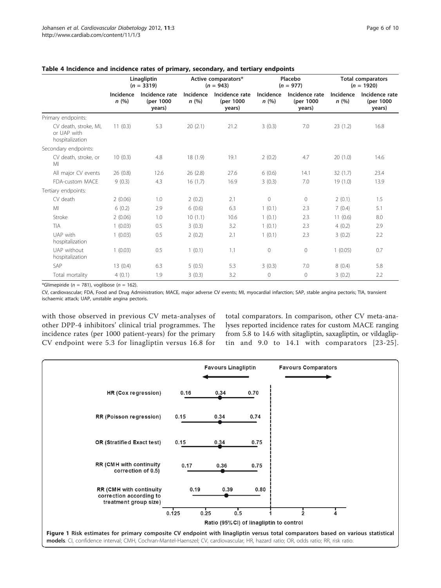|                                                         | Linagliptin<br>$(n = 3319)$ |                                       | Active comparators*<br>$(n = 943)$ |                                       | Placebo<br>$(n = 977)$ |                                       | <b>Total comparators</b><br>$(n = 1920)$ |                                       |
|---------------------------------------------------------|-----------------------------|---------------------------------------|------------------------------------|---------------------------------------|------------------------|---------------------------------------|------------------------------------------|---------------------------------------|
|                                                         | Incidence<br>n(%)           | Incidence rate<br>(per 1000<br>years) | Incidence<br>n(%)                  | Incidence rate<br>(per 1000<br>years) | Incidence<br>n(%)      | Incidence rate<br>(per 1000<br>years) | Incidence<br>n(%)                        | Incidence rate<br>(per 1000<br>years) |
| Primary endpoints:                                      |                             |                                       |                                    |                                       |                        |                                       |                                          |                                       |
| CV death, stroke, MI,<br>or UAP with<br>hospitalization | 11(0.3)                     | 5.3                                   | 20(2.1)                            | 21.2                                  | 3(0.3)                 | 7.0                                   | 23(1.2)                                  | 16.8                                  |
| Secondary endpoints:                                    |                             |                                       |                                    |                                       |                        |                                       |                                          |                                       |
| CV death, stroke, or<br>MI                              | 10(0.3)                     | 4.8                                   | 18(1.9)                            | 19.1                                  | 2(0.2)                 | 4.7                                   | 20(1.0)                                  | 14.6                                  |
| All major CV events                                     | 26(0.8)                     | 12.6                                  | 26(2.8)                            | 27.6                                  | 6(0.6)                 | 14.1                                  | 32(1.7)                                  | 23.4                                  |
| FDA-custom MACE                                         | 9(0.3)                      | 4.3                                   | 16(1.7)                            | 16.9                                  | 3(0.3)                 | 7.0                                   | 19(1.0)                                  | 13.9                                  |
| Tertiary endpoints:                                     |                             |                                       |                                    |                                       |                        |                                       |                                          |                                       |
| CV death                                                | 2(0.06)                     | 1.0                                   | 2(0.2)                             | 2.1                                   | $\circ$                | $\circ$                               | 2(0.1)                                   | 1.5                                   |
| MI                                                      | 6(0.2)                      | 2.9                                   | 6(0.6)                             | 6.3                                   | 1(0.1)                 | 2.3                                   | 7(0.4)                                   | 5.1                                   |
| Stroke                                                  | 2(0.06)                     | 1.0                                   | 10(1.1)                            | 10.6                                  | 1(0.1)                 | 2.3                                   | 11(0.6)                                  | 8.0                                   |
| <b>TIA</b>                                              | 1(0.03)                     | 0.5                                   | 3(0.3)                             | 3.2                                   | 1(0.1)                 | 2.3                                   | 4(0.2)                                   | 2.9                                   |
| UAP with<br>hospitalization                             | 1(0.03)                     | 0.5                                   | 2(0.2)                             | 2.1                                   | 1(0.1)                 | 2.3                                   | 3(0.2)                                   | 2.2                                   |
| UAP without<br>hospitalization                          | 1(0.03)                     | 0.5                                   | 1(0.1)                             | 1.1                                   | $\mathbf 0$            | $\circ$                               | 1(0.05)                                  | 0.7                                   |
| SAP                                                     | 13(0.4)                     | 6.3                                   | 5(0.5)                             | 5.3                                   | 3(0.3)                 | 7.0                                   | 8(0.4)                                   | 5.8                                   |
| Total mortality                                         | 4(0.1)                      | 1.9                                   | 3(0.3)                             | 3.2                                   | $\overline{0}$         | $\circ$                               | 3(0.2)                                   | 2.2                                   |

<span id="page-5-0"></span>Table 4 Incidence and incidence rates of primary, secondary, and tertiary endpoints

\*Glimepiride ( $n = 781$ ), voglibose ( $n = 162$ ).

CV, cardiovascular; FDA, Food and Drug Administration; MACE, major adverse CV events; MI, myocardial infarction; SAP, stable angina pectoris; TIA, transient ischaemic attack; UAP, unstable angina pectoris.

with those observed in previous CV meta-analyses of other DPP-4 inhibitors' clinical trial programmes. The incidence rates (per 1000 patient-years) for the primary CV endpoint were 5.3 for linagliptin versus 16.8 for

total comparators. In comparison, other CV meta-analyses reported incidence rates for custom MACE ranging from 5.8 to 14.6 with sitagliptin, saxagliptin, or vildagliptin and 9.0 to 14.1 with comparators [[23-25\]](#page-9-0).

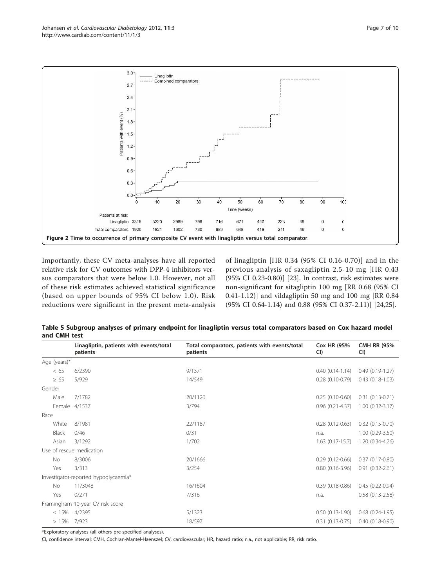<span id="page-6-0"></span>

Importantly, these CV meta-analyses have all reported relative risk for CV outcomes with DPP-4 inhibitors versus comparators that were below 1.0. However, not all of these risk estimates achieved statistical significance (based on upper bounds of 95% CI below 1.0). Risk reductions were significant in the present meta-analysis

of linagliptin [HR 0.34 (95% CI 0.16-0.70)] and in the previous analysis of saxagliptin 2.5-10 mg [HR 0.43 (95% CI 0.23-0.80)] [\[23\]](#page-9-0). In contrast, risk estimates were non-significant for sitagliptin 100 mg [RR 0.68 (95% CI 0.41-1.12)] and vildagliptin 50 mg and 100 mg [RR 0.84 (95% CI 0.64-1.14) and 0.88 (95% CI 0.37-2.11)] [\[24,25](#page-9-0)].

Table 5 Subgroup analyses of primary endpoint for linagliptin versus total comparators based on Cox hazard model and CMH test

|              | Linagliptin, patients with events/total<br>patients | Total comparators, patients with events/total<br>patients | <b>Cox HR (95%</b><br>CI) | <b>CMH RR (95%</b><br>CI) |
|--------------|-----------------------------------------------------|-----------------------------------------------------------|---------------------------|---------------------------|
| Age (years)* |                                                     |                                                           |                           |                           |
| <65          | 6/2390                                              | 9/1371                                                    | $0.40(0.14-1.14)$         | $0.49(0.19-1.27)$         |
| $\geq 65$    | 5/929                                               | 14/549                                                    | $0.28$ $(0.10 - 0.79)$    | $0.43(0.18-1.03)$         |
| Gender       |                                                     |                                                           |                           |                           |
| Male         | 7/1782                                              | 20/1126                                                   | $0.25(0.10-0.60)$         | $0.31(0.13-0.71)$         |
|              | Female 4/1537                                       | 3/794                                                     | $0.96$ $(0.21 - 4.37)$    | $1.00(0.32-3.17)$         |
| Race         |                                                     |                                                           |                           |                           |
| White        | 8/1981                                              | 22/1187                                                   | $0.28(0.12 - 0.63)$       | $0.32$ $(0.15 - 0.70)$    |
| Black        | 0/46                                                | 0/31                                                      | n.a.                      | $1.00(0.29 - 3.50)$       |
| Asian        | 3/1292                                              | 1/702                                                     | $1.63$ (0.17-15.7)        | $1.20(0.34-4.26)$         |
|              | Use of rescue medication                            |                                                           |                           |                           |
| No           | 8/3006                                              | 20/1666                                                   | $0.29(0.12 - 0.66)$       | $0.37(0.17-0.80)$         |
| Yes          | 3/313                                               | 3/254                                                     | $0.80(0.16-3.96)$         | $0.91(0.32 - 2.61)$       |
|              | Investigator-reported hypoglycaemia*                |                                                           |                           |                           |
| <b>No</b>    | 11/3048                                             | 16/1604                                                   | $0.39(0.18-0.86)$         | $0.45(0.22-0.94)$         |
| Yes          | 0/271                                               | 7/316                                                     | n.a.                      | $0.58$ $(0.13 - 2.58)$    |
|              | Framingham 10-year CV risk score                    |                                                           |                           |                           |
| $\leq 15\%$  | 4/2395                                              | 5/1323                                                    | $0.50(0.13-1.90)$         | $0.68$ $(0.24-1.95)$      |
| >15%         | 7/923                                               | 18/597                                                    | $0.31$ $(0.13 - 0.75)$    | $0.40(0.18-0.90)$         |

\*Exploratory analyses (all others pre-specified analyses).

CI, confidence interval; CMH, Cochran-Mantel-Haenszel; CV, cardiovascular; HR, hazard ratio; n.a., not applicable; RR, risk ratio.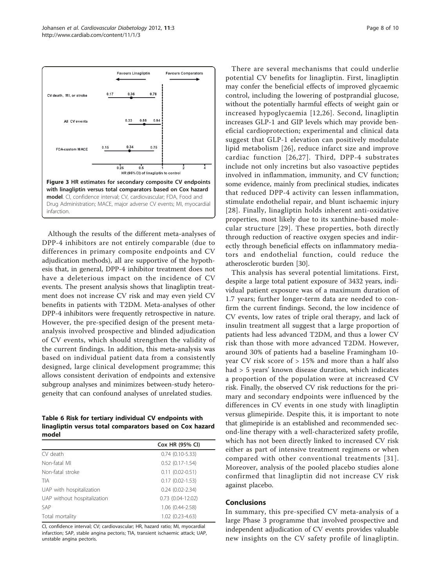<span id="page-7-0"></span>

Although the results of the different meta-analyses of DPP-4 inhibitors are not entirely comparable (due to differences in primary composite endpoints and CV adjudication methods), all are supportive of the hypothesis that, in general, DPP-4 inhibitor treatment does not have a deleterious impact on the incidence of CV events. The present analysis shows that linagliptin treatment does not increase CV risk and may even yield CV benefits in patients with T2DM. Meta-analyses of other DPP-4 inhibitors were frequently retrospective in nature. However, the pre-specified design of the present metaanalysis involved prospective and blinded adjudication of CV events, which should strengthen the validity of the current findings. In addition, this meta-analysis was based on individual patient data from a consistently designed, large clinical development programme; this allows consistent derivation of endpoints and extensive subgroup analyses and minimizes between-study heterogeneity that can confound analyses of unrelated studies.

Table 6 Risk for tertiary individual CV endpoints with linagliptin versus total comparators based on Cox hazard model

| Cox HR (95% CI)         |
|-------------------------|
| $0.74(0.10-5.33)$       |
| $0.52$ $(0.17 - 1.54)$  |
| $0.11(0.02 - 0.51)$     |
| $0.17(0.02 - 1.53)$     |
| $0.24(0.02 - 2.34)$     |
| $0.73$ $(0.04 - 12.02)$ |
| 1.06 (0.44-2.58)        |
| 1.02 (0.23-4.63)        |
|                         |

CI, confidence interval; CV; cardiovascular; HR, hazard ratio; MI, myocardial infarction; SAP, stable angina pectoris; TIA, transient ischaemic attack; UAP, unstable angina pectoris.

There are several mechanisms that could underlie potential CV benefits for linagliptin. First, linagliptin may confer the beneficial effects of improved glycaemic control, including the lowering of postprandial glucose, without the potentially harmful effects of weight gain or increased hypoglycaemia [[12,](#page-8-0)[26\]](#page-9-0). Second, linagliptin increases GLP-1 and GIP levels which may provide beneficial cardioprotection; experimental and clinical data suggest that GLP-1 elevation can positively modulate lipid metabolism [\[26](#page-9-0)], reduce infarct size and improve cardiac function [[26](#page-9-0),[27\]](#page-9-0). Third, DPP-4 substrates include not only incretins but also vasoactive peptides involved in inflammation, immunity, and CV function; some evidence, mainly from preclinical studies, indicates that reduced DPP-4 activity can lessen inflammation, stimulate endothelial repair, and blunt ischaemic injury [[28\]](#page-9-0). Finally, linagliptin holds inherent anti-oxidative properties, most likely due to its xanthine-based molecular structure [[29](#page-9-0)]. These properties, both directly through reduction of reactive oxygen species and indirectly through beneficial effects on inflammatory mediators and endothelial function, could reduce the atherosclerotic burden [\[30\]](#page-9-0).

This analysis has several potential limitations. First, despite a large total patient exposure of 3432 years, individual patient exposure was of a maximum duration of 1.7 years; further longer-term data are needed to confirm the current findings. Second, the low incidence of CV events, low rates of triple oral therapy, and lack of insulin treatment all suggest that a large proportion of patients had less advanced T2DM, and thus a lower CV risk than those with more advanced T2DM. However, around 30% of patients had a baseline Framingham 10 year CV risk score of > 15% and more than a half also had > 5 years' known disease duration, which indicates a proportion of the population were at increased CV risk. Finally, the observed CV risk reductions for the primary and secondary endpoints were influenced by the differences in CV events in one study with linagliptin versus glimepiride. Despite this, it is important to note that glimepiride is an established and recommended second-line therapy with a well-characterized safety profile, which has not been directly linked to increased CV risk either as part of intensive treatment regimens or when compared with other conventional treatments [[31\]](#page-9-0). Moreover, analysis of the pooled placebo studies alone confirmed that linagliptin did not increase CV risk against placebo.

#### Conclusions

In summary, this pre-specified CV meta-analysis of a large Phase 3 programme that involved prospective and independent adjudication of CV events provides valuable new insights on the CV safety profile of linagliptin.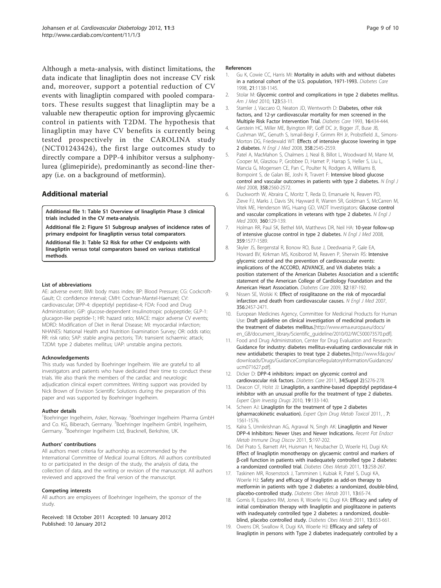<span id="page-8-0"></span>Although a meta-analysis, with distinct limitations, the data indicate that linagliptin does not increase CV risk and, moreover, support a potential reduction of CV events with linagliptin compared with pooled comparators. These results suggest that linagliptin may be a valuable new therapeutic option for improving glycaemic control in patients with T2DM. The hypothesis that linagliptin may have CV benefits is currently being tested prospectively in the CAROLINA study (NCT01243424), the first large outcomes study to directly compare a DPP-4 inhibitor versus a sulphonylurea (glimepiride), predominantly as second-line therapy (i.e. on a background of metformin).

# Additional material

[Additional file 1: T](http://www.biomedcentral.com/content/supplementary/1475-2840-11-3-S1.PDF)able S1 Overview of linagliptin Phase 3 clinical trials included in the CV meta-analysis.

[Additional file 2: F](http://www.biomedcentral.com/content/supplementary/1475-2840-11-3-S2.PDF)igure S1 Subgroup analyses of incidence rates of primary endpoint for linagliptin versus total comparators. [Additional file 3: T](http://www.biomedcentral.com/content/supplementary/1475-2840-11-3-S3.PDF)able S2 Risk for other CV endpoints with linagliptin versus total comparators based on various statistical methods.

#### List of abbreviations

AE: adverse event; BMI: body mass index; BP: Blood Pressure; CG: Cockcroft-Gault; CI: confidence interval; CMH: Cochran-Mantel-Haenszel; CV: cardiovascular; DPP-4: dipeptidyl peptidase-4; FDA: Food and Drug Administration; GIP: glucose-dependent insulinotropic polypeptide; GLP-1: glucagon-like peptide-1; HR: hazard ratio; MACE: major adverse CV events; MDRD: Modification of Diet in Renal Disease; MI: myocardial infarction; NHANES: National Health and Nutrition Examination Survey; OR: odds ratio; RR: risk ratio; SAP: stable angina pectoris; TIA: transient ischaemic attack; T2DM: type 2 diabetes mellitus; UAP: unstable angina pectoris.

#### Acknowledgements

This study was funded by Boehringer Ingelheim. We are grateful to all investigators and patients who have dedicated their time to conduct these trials. We also thank the members of the cardiac and neurologic adjudication clinical expert committees. Writing support was provided by Nick Brown of Envision Scientific Solutions during the preparation of this paper and was supported by Boehringer Ingelheim.

#### Author details

<sup>1</sup>Boehringer Ingelheim, Asker, Norway. <sup>2</sup>Boehringer Ingelheim Pharma GmbH and Co. KG, Biberach, Germany. <sup>3</sup>Boehringer Ingelheim GmbH, Ingelheim, Germany. <sup>4</sup> Boehringer Ingelheim Ltd, Bracknell, Berkshire, UK.

#### Authors' contributions

All authors meet criteria for authorship as recommended by the International Committee of Medical Journal Editors. All authors contributed to or participated in the design of the study, the analysis of data, the collection of data, and the writing or revision of the manuscript. All authors reviewed and approved the final version of the manuscript.

#### Competing interests

All authors are employees of Boehringer Ingelheim, the sponsor of the study.

Received: 18 October 2011 Accepted: 10 January 2012 Published: 10 January 2012

#### References

- 1. Gu K, Cowie CC, Harris MI: [Mortality in adults with and without diabetes](http://www.ncbi.nlm.nih.gov/pubmed/9653609?dopt=Abstract) [in a national cohort of the U.S. population, 1971-1993.](http://www.ncbi.nlm.nih.gov/pubmed/9653609?dopt=Abstract) Diabetes Care 1998, 21:1138-1145.
- 2. Stolar M: [Glycemic control and complications in type 2 diabetes mellitus.](http://www.ncbi.nlm.nih.gov/pubmed/20206730?dopt=Abstract) Am J Med 2010, 123:S3-11.
- Stamler J, Vaccaro O, Neaton JD, Wentworth D: [Diabetes, other risk](http://www.ncbi.nlm.nih.gov/pubmed/8432214?dopt=Abstract) [factors, and 12-yr cardiovascular mortality for men screened in the](http://www.ncbi.nlm.nih.gov/pubmed/8432214?dopt=Abstract) [Multiple Risk Factor Intervention Trial.](http://www.ncbi.nlm.nih.gov/pubmed/8432214?dopt=Abstract) Diabetes Care 1993, 16:434-444.
- 4. Gerstein HC, Miller ME, Byington RP, Goff DC Jr, Bigger JT, Buse JB, Cushman WC, Genuth S, Ismail-Beigi F, Grimm RH Jr, Probstfield JL, Simons-Morton DG, Friedewald WT: [Effects of intensive glucose lowering in type](http://www.ncbi.nlm.nih.gov/pubmed/18539917?dopt=Abstract) [2 diabetes.](http://www.ncbi.nlm.nih.gov/pubmed/18539917?dopt=Abstract) N Engl J Med 2008, 358:2545-2559.
- Patel A, MacMahon S, Chalmers J, Neal B, Billot L, Woodward M, Marre M, Cooper M, Glasziou P, Grobbee D, Hamet P, Harrap S, Heller S, Liu L, Mancia G, Mogensen CE, Pan C, Poulter N, Rodgers A, Williams B, Bompoint S, de Galan BE, Joshi R, Travert F: [Intensive blood glucose](http://www.ncbi.nlm.nih.gov/pubmed/18539916?dopt=Abstract) [control and vascular outcomes in patients with type 2 diabetes.](http://www.ncbi.nlm.nih.gov/pubmed/18539916?dopt=Abstract) N Engl J Med 2008, 358:2560-2572.
- 6. Duckworth W, Abraira C, Moritz T, Reda D, Emanuele N, Reaven PD, Zieve FJ, Marks J, Davis SN, Hayward R, Warren SR, Goldman S, McCarren M, Vitek ME, Henderson WG, Huang GD, VADT Investigators: [Glucose control](http://www.ncbi.nlm.nih.gov/pubmed/19092145?dopt=Abstract) [and vascular complications in veterans with type 2 diabetes.](http://www.ncbi.nlm.nih.gov/pubmed/19092145?dopt=Abstract) N Engl J Med 2009, 360:129-139.
- 7. Holman RR, Paul SK, Bethel MA, Matthews DR, Neil HA: [10-year follow-up](http://www.ncbi.nlm.nih.gov/pubmed/18784090?dopt=Abstract) [of intensive glucose control in type 2 diabetes.](http://www.ncbi.nlm.nih.gov/pubmed/18784090?dopt=Abstract) N Engl J Med 2008, 359:1577-1589.
- 8. Skyler JS, Bergenstal R, Bonow RO, Buse J, Deedwania P, Gale EA, Howard BV, Kirkman MS, Kosiborod M, Reaven P, Sherwin RS: [Intensive](http://www.ncbi.nlm.nih.gov/pubmed/19092168?dopt=Abstract) [glycemic control and the prevention of cardiovascular events:](http://www.ncbi.nlm.nih.gov/pubmed/19092168?dopt=Abstract) [implications of the ACCORD, ADVANCE, and VA diabetes trials: a](http://www.ncbi.nlm.nih.gov/pubmed/19092168?dopt=Abstract) [position statement of the American Diabetes Association and a scientific](http://www.ncbi.nlm.nih.gov/pubmed/19092168?dopt=Abstract) [statement of the American College of Cardiology Foundation and the](http://www.ncbi.nlm.nih.gov/pubmed/19092168?dopt=Abstract) [American Heart Association.](http://www.ncbi.nlm.nih.gov/pubmed/19092168?dopt=Abstract) Diabetes Care 2009, 32:187-192.
- 9. Nissen SE, Wolski K: [Effect of rosiglitazone on the risk of myocardial](http://www.ncbi.nlm.nih.gov/pubmed/17517853?dopt=Abstract) [infarction and death from cardiovascular causes.](http://www.ncbi.nlm.nih.gov/pubmed/17517853?dopt=Abstract) N Engl J Med 2007, 356:2457-2471.
- 10. European Medicines Agency, Committee for Medicinal Products for Human Use: Draft guideline on clinical investigation of medicinal products in the treatment of diabetes mellitus.[[http://www.ema.europa.eu/docs/](http://www.ema.europa.eu/docs/en_GB/document_library/Scientific_guideline/2010/02/WC500073570.pdf) [en\\_GB/document\\_library/Scientific\\_guideline/2010/02/WC500073570.pdf](http://www.ema.europa.eu/docs/en_GB/document_library/Scientific_guideline/2010/02/WC500073570.pdf)].
- 11. Food and Drug Administration, Center for Drug Evaluation and Research: Guidance for industry: diabetes mellitus-evaluating cardiovascular risk in new antidiabetic therapies to treat type 2 diabetes.[\[http://www.fda.gov/](http://www.fda.gov/downloads/Drugs/GuidanceComplianceRegulatoryInformation/Guidances/ucm071627.pdf) [downloads/Drugs/GuidanceComplianceRegulatoryInformation/Guidances/](http://www.fda.gov/downloads/Drugs/GuidanceComplianceRegulatoryInformation/Guidances/ucm071627.pdf) [ucm071627.pdf](http://www.fda.gov/downloads/Drugs/GuidanceComplianceRegulatoryInformation/Guidances/ucm071627.pdf)].
- 12. Dicker D: [DPP-4 inhibitors: impact on glycemic control and](http://www.ncbi.nlm.nih.gov/pubmed/21525468?dopt=Abstract) [cardiovascular risk factors.](http://www.ncbi.nlm.nih.gov/pubmed/21525468?dopt=Abstract) Diabetes Care 2011, 34(Suppl 2):S276-278.
- 13. Deacon CF, Holst JJ: [Linagliptin, a xanthine-based dipeptidyl peptidase-4](http://www.ncbi.nlm.nih.gov/pubmed/19947894?dopt=Abstract) [inhibitor with an unusual profile for the treatment of type 2 diabetes.](http://www.ncbi.nlm.nih.gov/pubmed/19947894?dopt=Abstract) Expert Opin Investig Drugs 2010, 19:133-140.
- 14. Scheen AJ: Linagliptin for the treatment of type 2 diabetes (pharmacokinetic evaluation). Expert Opin Drug Metab Toxicol 2011, , 7: 1561-1576.
- 15. Kalra S, Unnikrishnan AG, Agrawal N, Singh AK: [Linagliptin and Newer](http://www.ncbi.nlm.nih.gov/pubmed/21913883?dopt=Abstract) [DPP-4 Inhibitors: Newer Uses and Newer Indications.](http://www.ncbi.nlm.nih.gov/pubmed/21913883?dopt=Abstract) Recent Pat Endocr Metab Immune Drug Discov 2011, 5:197-202.
- 16. Del Prato S, Barnett AH, Huisman H, Neubacher D, Woerle HJ, Dugi KA: [Effect of linagliptin monotherapy on glycaemic control and markers of](http://www.ncbi.nlm.nih.gov/pubmed/21205122?dopt=Abstract) β[-cell function in patients with inadequately controlled type 2 diabetes:](http://www.ncbi.nlm.nih.gov/pubmed/21205122?dopt=Abstract) [a randomized controlled trial.](http://www.ncbi.nlm.nih.gov/pubmed/21205122?dopt=Abstract) Diabetes Obes Metab 2011, 13:258-267.
- 17. Taskinen MR, Rosenstock J, Tamminen I, Kubiak R, Patel S, Dugi KA, Woerle HJ: [Safety and efficacy of linagliptin as add-on therapy to](http://www.ncbi.nlm.nih.gov/pubmed/21114605?dopt=Abstract) [metformin in patients with type 2 diabetes: a randomized, double-blind,](http://www.ncbi.nlm.nih.gov/pubmed/21114605?dopt=Abstract) [placebo-controlled study.](http://www.ncbi.nlm.nih.gov/pubmed/21114605?dopt=Abstract) Diabetes Obes Metab 2011, 13:65-74.
- 18. Gomis R, Espadero RM, Jones R, Woerle HJ, Dugi KA: [Efficacy and safety of](http://www.ncbi.nlm.nih.gov/pubmed/21410628?dopt=Abstract) [initial combination therapy with linagliptin and pioglitazone in patients](http://www.ncbi.nlm.nih.gov/pubmed/21410628?dopt=Abstract) [with inadequately controlled type 2 diabetes: a randomized, double](http://www.ncbi.nlm.nih.gov/pubmed/21410628?dopt=Abstract)[blind, placebo controlled study.](http://www.ncbi.nlm.nih.gov/pubmed/21410628?dopt=Abstract) Diabetes Obes Metab 2011, 13:653-661.
- 19. Owens DR, Swallow R, Dugi KA, Woerle HJ: [Efficacy and safety of](http://www.ncbi.nlm.nih.gov/pubmed/21781152?dopt=Abstract) [linagliptin in persons with Type 2 diabetes inadequately controlled by a](http://www.ncbi.nlm.nih.gov/pubmed/21781152?dopt=Abstract)